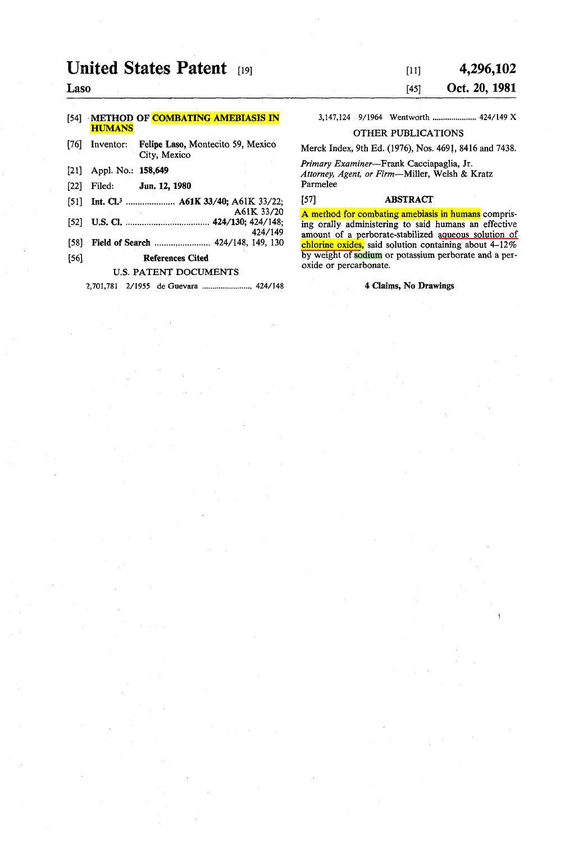# **United States Patent [19]**

# Laso

#### [54] METHOD OF COMBATING AMEBIASIS IN **HUMANS**

## [76] Inventor: Felipe Laso, Montecito 59, Mexico City, Mexico

- [21] Appl. No.: 158,649
- [22] Filed: Jun. 12, 1980
- [51] Int. Cl.<sup>3</sup> ...................... A61K 33/40; A61K 33/22;
- A61K 33/20 [52] U.S. Cl. .................................... 424/130; 424/148;
- 424/149
- [58] Field of Search ............................... 424/148, 149, 130
- [56] References Cited

# U.S. PATENT DOCUMENTS

2,701,781 2/1955 de Guevara ........................ 424/148

## [11] [45] 4,296,102

# Oct. 20, 1981

3,147,124 9/1964 Wentwatth ..................... 424/149 X

OTHER PUBLICATIONS

Merck Index, 9th Ed. (1976), Nos. *469J,* 8416 and 7438.

*Primary Examiner-Frank* Cacciapaglia, Jr. *Attorney, Agent, or Firm-Millet,* We1sh & Kratz Parmelee

## [57] ABSTRACT

A method for combating amebiasis in humans comprising oraIly administering to said humans an effective amount of a perborate-stabilized aqueous solution of chlorine oxides, said solution containing about 4-12% by weight of sodium or potassium perborate and a peroxide or percarbonate.

#### 4 Claims, No Drawings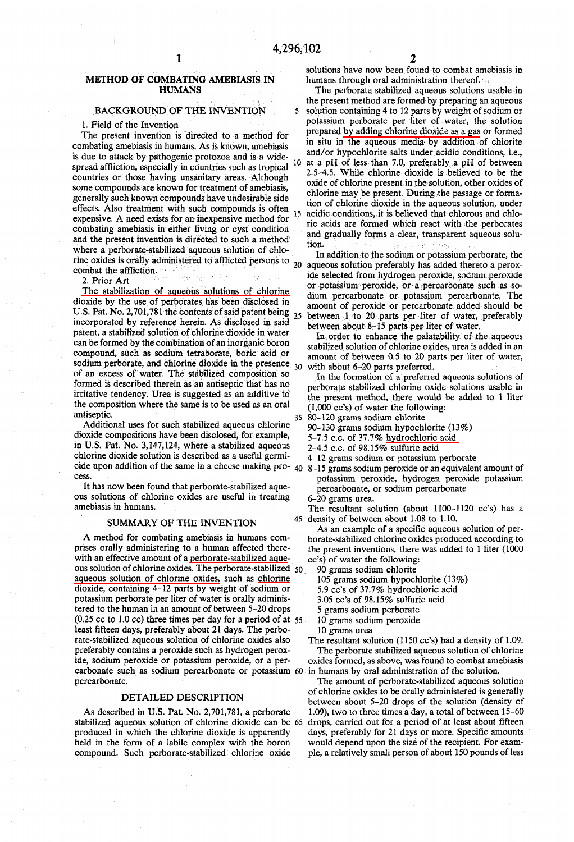#### METHOD OF COMBATING AMEBIASIS IN **HUMANS**

# **BACKGROUND OF THE INVENTION**

#### 1. Field of the Invention

The present invention is directed to a method for combating amebiasis in humans. As is known, amebiasis is due to attack by pathogenic protozoa and is a widespread affliction, especially in countries such as tropical countries or those having unsanitary areas. Although some compounds are known for treatment of amebiasis, generally such known compounds have undesirable side effects. Also treatment with such compounds is often expensive. A need exists for an inexpensive method for combating amebiasis in either living or cyst condition and the present invention is directed to such a method where a perborate-stabilized aqueous solution of chlorine oxides is orally administered to afflicted persons to  $_{20}$ combat the affliction.

2. Prior Art

The stabilization of aqueous solutions of chlorine dioxide by the use of perborates has been disclosed in U.S. Pat. No. 2,701,781 the contents of said patent being  $_{25}$ incorporated by reference herein. As disclosed in said patent, a stabilized solution of chlorine dioxide in water can be formed by the combination of an inorganic boron compound, such as sodium tetraborate, boric acid or sodium perborate, and chlorine dioxide in the presence 30 of an excess of water. The stabilized composition so formed is described therein as an antiseptic that has no irritative tendency. Urea is suggested as an additive to the composition where the same is to be used as an oral antiseptic.

Additional uses for such stabilized aqueous chlorine dioxide compositions have been disclosed, for example, in U.S. Pat. No. 3,147,124, where a stabilized aqueous chlorine dioxide solution is described as a useful germicide upon addition of the same in a cheese making pro-  $40\,8-15$  grams sodium peroxide or an equivalent amount of cess.

It has now been found that perborate-stabilized aqueous solutions of chlorine oxides are useful in treating amebiasis in humans.

#### **SUMMARY OF THE INVENTION**

A method for combating amebiasis in humans comprises orally administering to a human affected therewith an effective amount of a perborate-stabilized aqueous solution of chlorine oxides. The perborate-stabilized 50 aqueous solution of chlorine oxides, such as chlorine dioxide, containing 4-12 parts by weight of sodium or potassium perborate per liter of water is orally administered to the human in an amount of between 5-20 drops (0.25 cc to 1.0 cc) three times per day for a period of at 55 least fifteen days, preferably about 21 days. The perborate-stabilized aqueous solution of chlorine oxides also preferably contains a peroxide such as hydrogen peroxide, sodium peroxide or potassium peroxide, or a percarbonate such as sodium percarbonate or potassium 60 in humans by oral administration of the solution. percarbonate.

#### DETAILED DESCRIPTION

As described in U.S. Pat. No. 2,701,781, a perborate stabilized aqueous solution of chlorine dioxide can be 65 produced in which the chlorine dioxide is apparently held in the form of a labile complex with the boron compound. Such perborate-stabilized chlorine oxide

The perborate stabilized aqueous solutions usable in the present method are formed by preparing an aqueous  $\mathbf{5}$ solution containing 4 to 12 parts by weight of sodium or potassium perborate per liter of water, the solution prepared by adding chlorine dioxide as a gas or formed in situ in the aqueous media by addition of chlorite and/or hypochlorite salts under acidic conditions, i.e., 10 at a pH of less than 7.0, preferably a pH of between 2.5-4.5. While chlorine dioxide is believed to be the oxide of chlorine present in the solution, other oxides of chlorine may be present. During the passage or formation of chlorine dioxide in the aqueous solution, under 15 acidic conditions, it is believed that chlorous and chloric acids are formed which react with the perborates and gradually forms a clear, transparent aqueous solution.

In addition to the sodium or potassium perborate, the aqueous solution preferably has added thereto a peroxide selected from hydrogen peroxide, sodium peroxide or potassium peroxide, or a percarbonate such as sodium percarbonate or potassium percarbonate. The amount of peroxide or percarbonate added should be between 1 to 20 parts per liter of water, preferably between about 8-15 parts per liter of water.

In order to enhance the palatability of the aqueous stabilized solution of chlorine oxides, urea is added in an amount of between 0.5 to 20 parts per liter of water, with about 6-20 parts preferred.

In the formation of a preferred aqueous solutions of perborate stabilized chlorine oxide solutions usable in the present method, there would be added to 1 liter  $(1,000 \text{ cc's})$  of water the following:

- 35 80-120 grams sodium chlorite
	- 90-130 grams sodium hypochlorite (13%)
	- 5-7.5 c.c. of 37.7% hydrochloric acid
	- 2-4.5 c.c. of 98.15% sulfuric acid
	- 4-12 grams sodium or potassium perborate
	- potassium peroxide, hydrogen peroxide potassium percarbonate, or sodium percarbonate
	- 6-20 grams urea.

The resultant solution (about 1100-1120 cc's) has a 45 density of between about 1.08 to 1.10.

As an example of a specific aqueous solution of perborate-stabilized chlorine oxides produced according to the present inventions, there was added to 1 liter (1000 cc's) of water the following:

90 grams sodium chlorite

105 grams sodium hypochlorite (13%)

- 5.9 cc's of 37.7% hydrochloric acid
- 3.05 cc's of 98.15% sulfuric acid
- 5 grams sodium perborate
- 10 grams sodium peroxide
- 10 grams urea

The resultant solution (1150 cc's) had a density of 1.09.

The perborate stabilized aqueous solution of chlorine oxides formed, as above, was found to combat amebiasis

The amount of perborate-stabilized aqueous solution of chlorine oxides to be orally administered is generally between about 5-20 drops of the solution (density of 1.09), two to three times a day, a total of between 15-60 drops, carried out for a period of at least about fifteen days, preferably for 21 days or more. Specific amounts would depend upon the size of the recipient. For example, a relatively small person of about 150 pounds of less